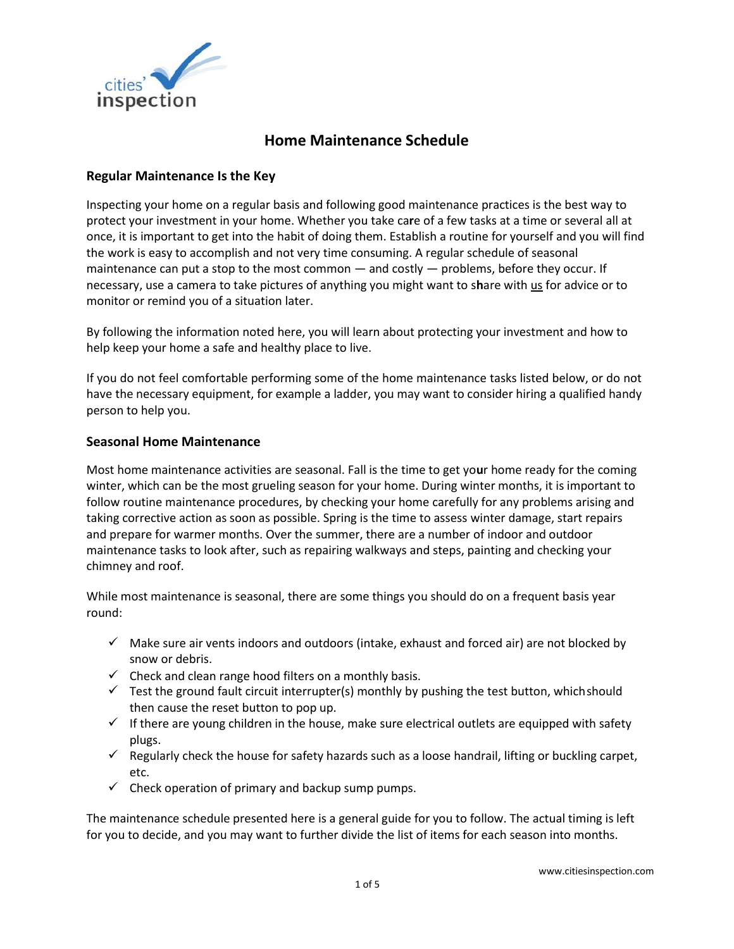

# **Home Maintenance Schedule**

### **Regular Maintenance Is the Key**

Inspecting your home on a regular basis and following good maintenance practices is the best way to protect your investment in your home. Whether you take ca**r**e of a few tasks at a time or several all at once, it is important to get into the habit of doing them. Establish a routine for yourself and you will find the work is easy to accomplish and not very time consuming. A regular schedule of seasonal maintenance can put a stop to the most common — and costly — problems, before they occur. If necessary, use a camera to take pictures of anything you might want to s**h**are with us for advice or to monitor or remind you of a situation later.

By following the information noted here, you will learn about protecting your investment and how to help keep your home a safe and healthy place to live.

If you do not feel comfortable performing some of the home maintenance tasks listed below, or do not have the necessary equipment, for example a ladder, you may want to consider hiring a qualified handy person to help you.

#### **Seasonal Home Maintenance**

Most home maintenance activities are seasonal. Fall is the time to get yo**u**r home ready for the coming winter, which can be the most grueling season for your home. During winter months, it is important to follow routine maintenance procedures, by checking your home carefully for any problems arising and taking corrective action as soon as possible. Spring is the time to assess winter damage, start repairs and prepare for warmer months. Over the summer, there are a number of indoor and outdoor maintenance tasks to look after, such as repairing walkways and steps, painting and checking your chimney and roof.

While most maintenance is seasonal, there are some things you should do on a frequent basis year round:

- $\checkmark$  Make sure air vents indoors and outdoors (intake, exhaust and forced air) are not blocked by snow or debris.
- $\checkmark$  Check and clean range hood filters on a monthly basis.
- $\checkmark$  Test the ground fault circuit interrupter(s) monthly by pushing the test button, which should then cause the reset button to pop up.
- $\checkmark$  If there are young children in the house, make sure electrical outlets are equipped with safety plugs.
- $\checkmark$  Regularly check the house for safety hazards such as a loose handrail, lifting or buckling carpet, etc.
- $\checkmark$  Check operation of primary and backup sump pumps.

The maintenance schedule presented here is a general guide for you to follow. The actual timing is left for you to decide, and you may want to further divide the list of items for each season into months.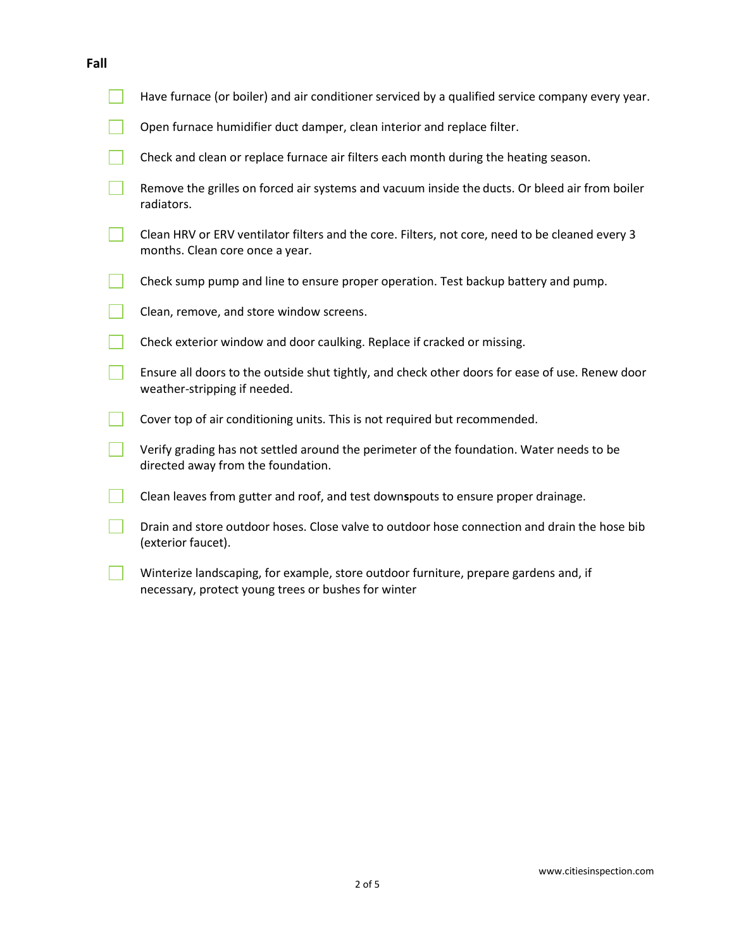| Have furnace (or boiler) and air conditioner serviced by a qualified service company every year.                                            |
|---------------------------------------------------------------------------------------------------------------------------------------------|
| Open furnace humidifier duct damper, clean interior and replace filter.                                                                     |
| Check and clean or replace furnace air filters each month during the heating season.                                                        |
| Remove the grilles on forced air systems and vacuum inside the ducts. Or bleed air from boiler<br>radiators.                                |
| Clean HRV or ERV ventilator filters and the core. Filters, not core, need to be cleaned every 3<br>months. Clean core once a year.          |
| Check sump pump and line to ensure proper operation. Test backup battery and pump.                                                          |
| Clean, remove, and store window screens.                                                                                                    |
| Check exterior window and door caulking. Replace if cracked or missing.                                                                     |
| Ensure all doors to the outside shut tightly, and check other doors for ease of use. Renew door<br>weather-stripping if needed.             |
| Cover top of air conditioning units. This is not required but recommended.                                                                  |
| Verify grading has not settled around the perimeter of the foundation. Water needs to be<br>directed away from the foundation.              |
| Clean leaves from gutter and roof, and test downspouts to ensure proper drainage.                                                           |
| Drain and store outdoor hoses. Close valve to outdoor hose connection and drain the hose bib<br>(exterior faucet).                          |
| Winterize landscaping, for example, store outdoor furniture, prepare gardens and, if<br>necessary, protect young trees or bushes for winter |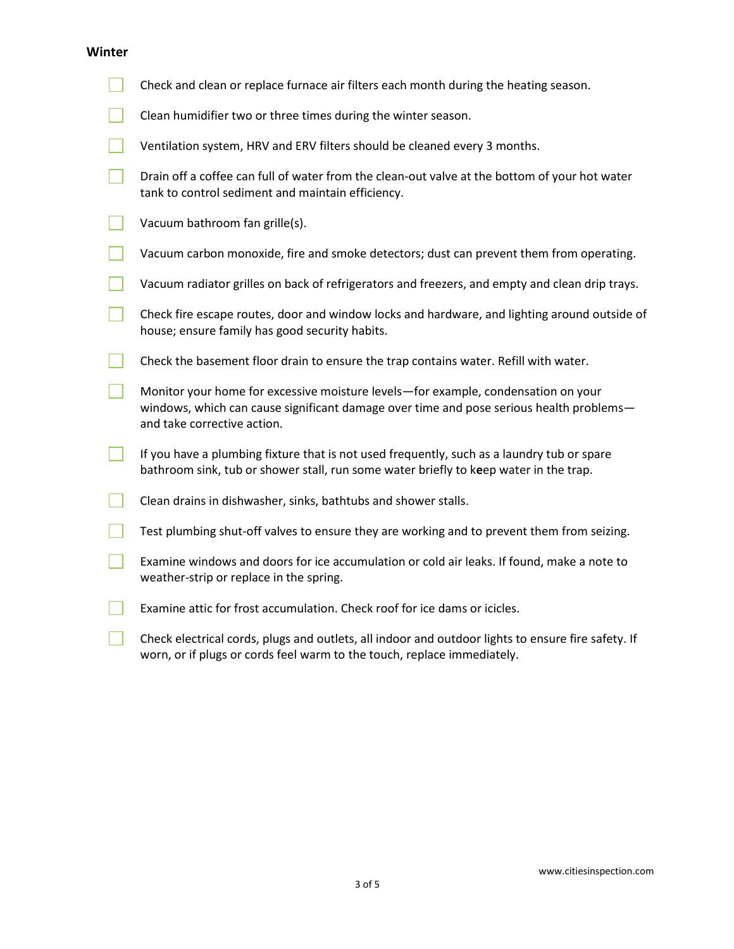#### **Winter**

| Check and clean or replace furnace air filters each month during the heating season.                                                                                                                        |
|-------------------------------------------------------------------------------------------------------------------------------------------------------------------------------------------------------------|
| Clean humidifier two or three times during the winter season.                                                                                                                                               |
| Ventilation system, HRV and ERV filters should be cleaned every 3 months.                                                                                                                                   |
| Drain off a coffee can full of water from the clean-out valve at the bottom of your hot water<br>tank to control sediment and maintain efficiency.                                                          |
| Vacuum bathroom fan grille(s).                                                                                                                                                                              |
| Vacuum carbon monoxide, fire and smoke detectors; dust can prevent them from operating.                                                                                                                     |
| Vacuum radiator grilles on back of refrigerators and freezers, and empty and clean drip trays.                                                                                                              |
| Check fire escape routes, door and window locks and hardware, and lighting around outside of<br>house; ensure family has good security habits.                                                              |
| Check the basement floor drain to ensure the trap contains water. Refill with water.                                                                                                                        |
| Monitor your home for excessive moisture levels-for example, condensation on your<br>windows, which can cause significant damage over time and pose serious health problems-<br>and take corrective action. |
| If you have a plumbing fixture that is not used frequently, such as a laundry tub or spare<br>bathroom sink, tub or shower stall, run some water briefly to keep water in the trap.                         |
| Clean drains in dishwasher, sinks, bathtubs and shower stalls.                                                                                                                                              |
| Test plumbing shut-off valves to ensure they are working and to prevent them from seizing.                                                                                                                  |
| Examine windows and doors for ice accumulation or cold air leaks. If found, make a note to<br>weather-strip or replace in the spring.                                                                       |
| Examine attic for frost accumulation. Check roof for ice dams or icicles.                                                                                                                                   |
| Check electrical cords, plugs and outlets, all indoor and outdoor lights to ensure fire safety. If<br>worn, or if plugs or cords feel warm to the touch, replace immediately.                               |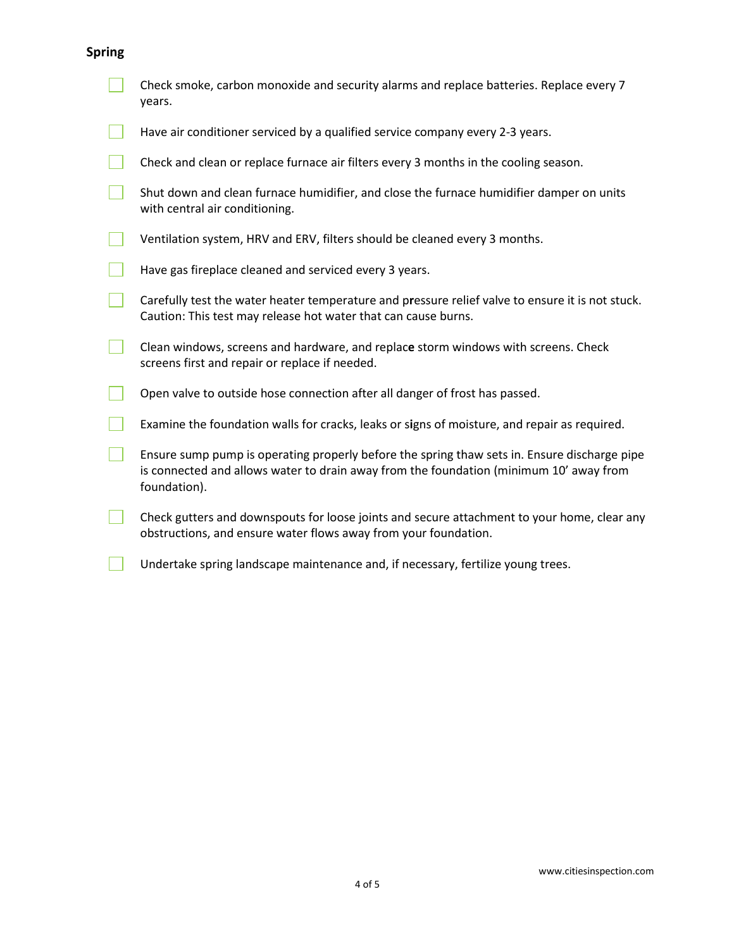## **Spring**

| Check smoke, carbon monoxide and security alarms and replace batteries. Replace every 7<br>years.                                                                                                      |
|--------------------------------------------------------------------------------------------------------------------------------------------------------------------------------------------------------|
| Have air conditioner serviced by a qualified service company every 2-3 years.                                                                                                                          |
| Check and clean or replace furnace air filters every 3 months in the cooling season.                                                                                                                   |
| Shut down and clean furnace humidifier, and close the furnace humidifier damper on units<br>with central air conditioning.                                                                             |
| Ventilation system, HRV and ERV, filters should be cleaned every 3 months.                                                                                                                             |
| Have gas fireplace cleaned and serviced every 3 years.                                                                                                                                                 |
| Carefully test the water heater temperature and pressure relief valve to ensure it is not stuck.<br>Caution: This test may release hot water that can cause burns.                                     |
| Clean windows, screens and hardware, and replace storm windows with screens. Check<br>screens first and repair or replace if needed.                                                                   |
| Open valve to outside hose connection after all danger of frost has passed.                                                                                                                            |
| Examine the foundation walls for cracks, leaks or signs of moisture, and repair as required.                                                                                                           |
| Ensure sump pump is operating properly before the spring thaw sets in. Ensure discharge pipe<br>is connected and allows water to drain away from the foundation (minimum 10' away from<br>foundation). |
| Check gutters and downspouts for loose joints and secure attachment to your home, clear any<br>obstructions, and ensure water flows away from your foundation.                                         |
| Undertake spring landscape maintenance and, if necessary, fertilize young trees.                                                                                                                       |